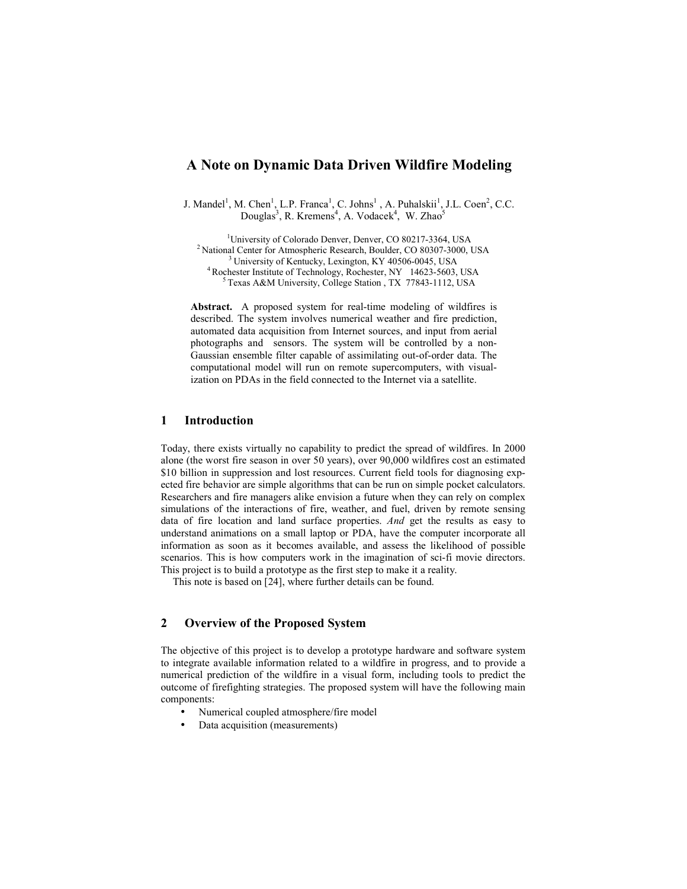# **A Note on Dynamic Data Driven Wildfire Modeling**

J. Mandel<sup>1</sup>, M. Chen<sup>1</sup>, L.P. Franca<sup>1</sup>, C. Johns<sup>1</sup>, A. Puhalskii<sup>1</sup>, J.L. Coen<sup>2</sup>, C.C. Douglas<sup>3</sup>, R. Kremens<sup>4</sup>, A. Vodacek<sup>4</sup>, W. Zhao<sup>5</sup>

<sup>1</sup>University of Colorado Denver, Denver, CO 80217-3364, USA <sup>2</sup> National Center for Atmospheric Research, Boulder, CO 80307-3000, USA<br><sup>3</sup> University of Kentucky, Lexington, KY 40506-0045, USA<br><sup>4</sup> Rochester Institute of Technology, Rochester, NY 14623-5603, USA<br><sup>5</sup> Texas A&M Univer

**Abstract.** A proposed system for real-time modeling of wildfires is described. The system involves numerical weather and fire prediction, automated data acquisition from Internet sources, and input from aerial photographs and sensors. The system will be controlled by a non-Gaussian ensemble filter capable of assimilating out-of-order data. The computational model will run on remote supercomputers, with visualization on PDAs in the field connected to the Internet via a satellite.

### **1 Introduction**

Today, there exists virtually no capability to predict the spread of wildfires. In 2000 alone (the worst fire season in over 50 years), over 90,000 wildfires cost an estimated \$10 billion in suppression and lost resources. Current field tools for diagnosing expected fire behavior are simple algorithms that can be run on simple pocket calculators. Researchers and fire managers alike envision a future when they can rely on complex simulations of the interactions of fire, weather, and fuel, driven by remote sensing data of fire location and land surface properties. *And* get the results as easy to understand animations on a small laptop or PDA, have the computer incorporate all information as soon as it becomes available, and assess the likelihood of possible scenarios. This is how computers work in the imagination of sci-fi movie directors. This project is to build a prototype as the first step to make it a reality.

This note is based on [24], where further details can be found.

## **2 Overview of the Proposed System**

The objective of this project is to develop a prototype hardware and software system to integrate available information related to a wildfire in progress, and to provide a numerical prediction of the wildfire in a visual form, including tools to predict the outcome of firefighting strategies. The proposed system will have the following main components:

- Numerical coupled atmosphere/fire model
- Data acquisition (measurements)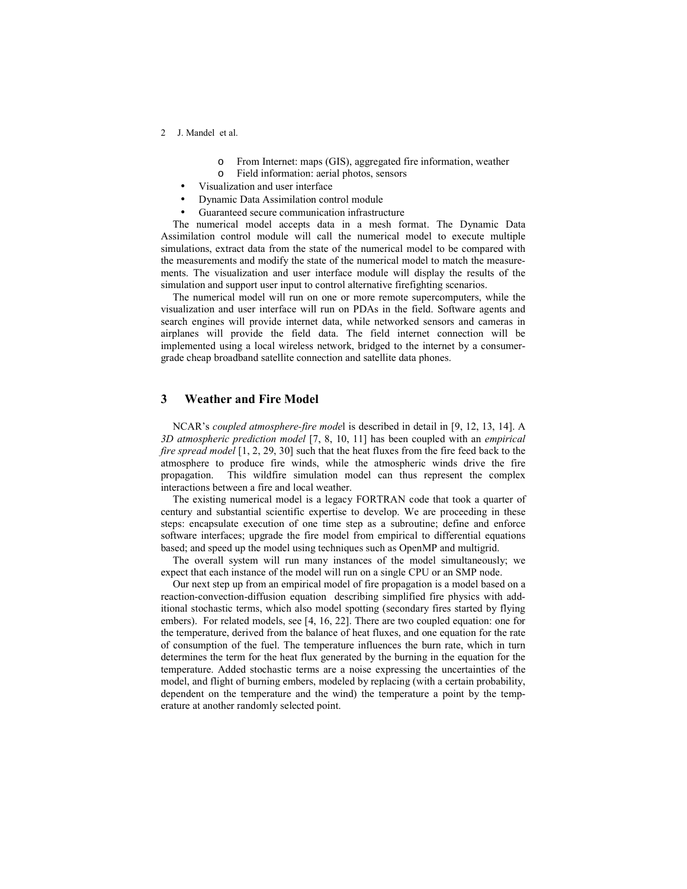- 2 J. Mandel et al.
	- o From Internet: maps (GIS), aggregated fire information, weather
	- o Field information: aerial photos, sensors
	- Visualization and user interface
	- Dynamic Data Assimilation control module
	- Guaranteed secure communication infrastructure

The numerical model accepts data in a mesh format. The Dynamic Data Assimilation control module will call the numerical model to execute multiple simulations, extract data from the state of the numerical model to be compared with the measurements and modify the state of the numerical model to match the measurements. The visualization and user interface module will display the results of the simulation and support user input to control alternative firefighting scenarios.

The numerical model will run on one or more remote supercomputers, while the visualization and user interface will run on PDAs in the field. Software agents and search engines will provide internet data, while networked sensors and cameras in airplanes will provide the field data. The field internet connection will be implemented using a local wireless network, bridged to the internet by a consumergrade cheap broadband satellite connection and satellite data phones.

### **3 Weather and Fire Model**

NCARís *coupled atmosphere-fire mode*l is described in detail in [9, 12, 13, 14]. A *3D atmospheric prediction model* [7, 8, 10, 11] has been coupled with an *empirical fire spread model* [1, 2, 29, 30] such that the heat fluxes from the fire feed back to the atmosphere to produce fire winds, while the atmospheric winds drive the fire propagation. This wildfire simulation model can thus represent the complex interactions between a fire and local weather.

The existing numerical model is a legacy FORTRAN code that took a quarter of century and substantial scientific expertise to develop. We are proceeding in these steps: encapsulate execution of one time step as a subroutine; define and enforce software interfaces; upgrade the fire model from empirical to differential equations based; and speed up the model using techniques such as OpenMP and multigrid.

The overall system will run many instances of the model simultaneously; we expect that each instance of the model will run on a single CPU or an SMP node.

Our next step up from an empirical model of fire propagation is a model based on a reaction-convection-diffusion equation describing simplified fire physics with additional stochastic terms, which also model spotting (secondary fires started by flying embers). For related models, see [4, 16, 22]. There are two coupled equation: one for the temperature, derived from the balance of heat fluxes, and one equation for the rate of consumption of the fuel. The temperature influences the burn rate, which in turn determines the term for the heat flux generated by the burning in the equation for the temperature. Added stochastic terms are a noise expressing the uncertainties of the model, and flight of burning embers, modeled by replacing (with a certain probability, dependent on the temperature and the wind) the temperature a point by the temperature at another randomly selected point.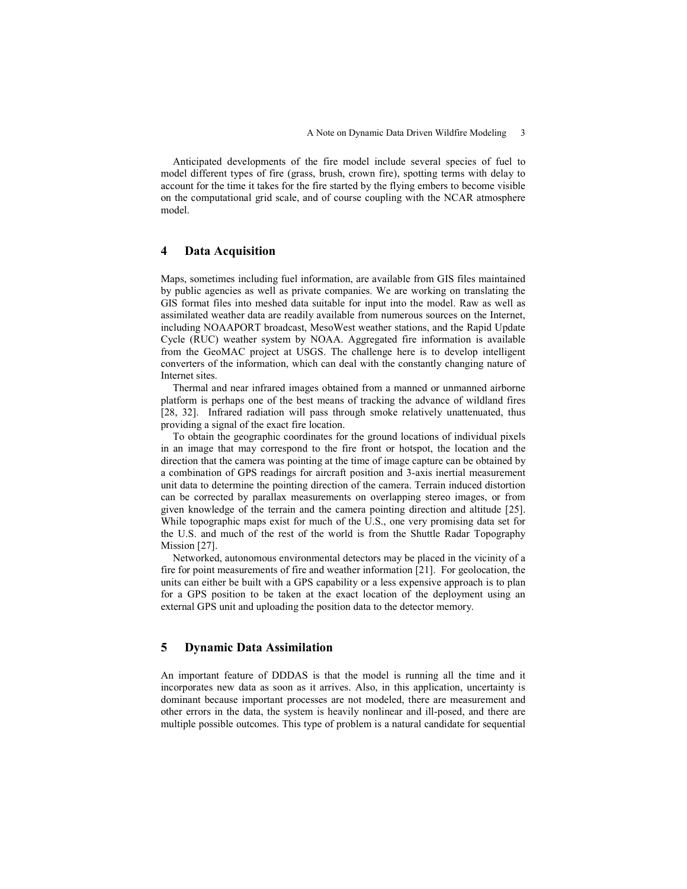Anticipated developments of the fire model include several species of fuel to model different types of fire (grass, brush, crown fire), spotting terms with delay to account for the time it takes for the fire started by the flying embers to become visible on the computational grid scale, and of course coupling with the NCAR atmosphere model.

#### **4 Data Acquisition**

Maps, sometimes including fuel information, are available from GIS files maintained by public agencies as well as private companies. We are working on translating the GIS format files into meshed data suitable for input into the model. Raw as well as assimilated weather data are readily available from numerous sources on the Internet, including NOAAPORT broadcast, MesoWest weather stations, and the Rapid Update Cycle (RUC) weather system by NOAA. Aggregated fire information is available from the GeoMAC project at USGS. The challenge here is to develop intelligent converters of the information, which can deal with the constantly changing nature of Internet sites.

Thermal and near infrared images obtained from a manned or unmanned airborne platform is perhaps one of the best means of tracking the advance of wildland fires [28, 32]. Infrared radiation will pass through smoke relatively unattenuated, thus providing a signal of the exact fire location.

To obtain the geographic coordinates for the ground locations of individual pixels in an image that may correspond to the fire front or hotspot, the location and the direction that the camera was pointing at the time of image capture can be obtained by a combination of GPS readings for aircraft position and 3-axis inertial measurement unit data to determine the pointing direction of the camera. Terrain induced distortion can be corrected by parallax measurements on overlapping stereo images, or from given knowledge of the terrain and the camera pointing direction and altitude [25]. While topographic maps exist for much of the U.S., one very promising data set for the U.S. and much of the rest of the world is from the Shuttle Radar Topography Mission [27].

Networked, autonomous environmental detectors may be placed in the vicinity of a fire for point measurements of fire and weather information [21]. For geolocation, the units can either be built with a GPS capability or a less expensive approach is to plan for a GPS position to be taken at the exact location of the deployment using an external GPS unit and uploading the position data to the detector memory.

### **5 Dynamic Data Assimilation**

An important feature of DDDAS is that the model is running all the time and it incorporates new data as soon as it arrives. Also, in this application, uncertainty is dominant because important processes are not modeled, there are measurement and other errors in the data, the system is heavily nonlinear and ill-posed, and there are multiple possible outcomes. This type of problem is a natural candidate for sequential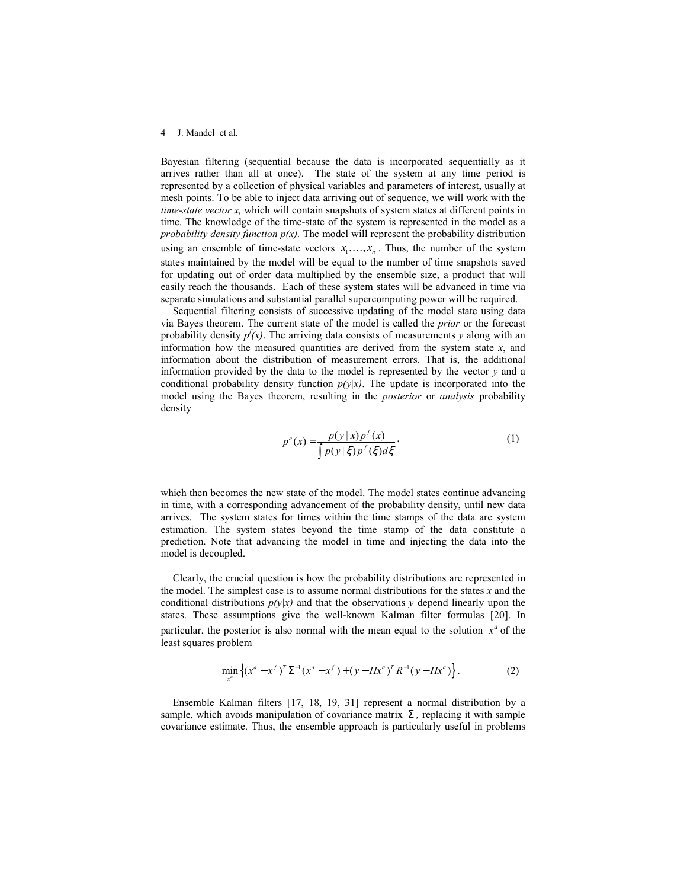#### 4 J. Mandel et al.

Bayesian filtering (sequential because the data is incorporated sequentially as it arrives rather than all at once). The state of the system at any time period is represented by a collection of physical variables and parameters of interest, usually at mesh points. To be able to inject data arriving out of sequence, we will work with the *time-state vector x,* which will contain snapshots of system states at different points in time. The knowledge of the time-state of the system is represented in the model as a *probability density function p(x).* The model will represent the probability distribution using an ensemble of time-state vectors  $x_1, \ldots, x_n$ . Thus, the number of the system states maintained by the model will be equal to the number of time snapshots saved for updating out of order data multiplied by the ensemble size, a product that will easily reach the thousands. Each of these system states will be advanced in time via separate simulations and substantial parallel supercomputing power will be required.

Sequential filtering consists of successive updating of the model state using data via Bayes theorem. The current state of the model is called the *prior* or the forecast probability density  $p(x)$ . The arriving data consists of measurements *y* along with an information how the measured quantities are derived from the system state  $x$ , and information about the distribution of measurement errors. That is, the additional information provided by the data to the model is represented by the vector *y* and a conditional probability density function  $p(y|x)$ . The update is incorporated into the model using the Bayes theorem, resulting in the *posterior* or *analysis* probability density

$$
p^{a}(x) = \frac{p(y|x)p^{f}(x)}{\int p(y|\xi)p^{f}(\xi)d\xi},
$$
\n(1)

which then becomes the new state of the model. The model states continue advancing in time, with a corresponding advancement of the probability density, until new data arrives. The system states for times within the time stamps of the data are system estimation. The system states beyond the time stamp of the data constitute a prediction. Note that advancing the model in time and injecting the data into the model is decoupled.

Clearly, the crucial question is how the probability distributions are represented in the model. The simplest case is to assume normal distributions for the states *x* and the conditional distributions  $p(y|x)$  and that the observations *y* depend linearly upon the states. These assumptions give the well-known Kalman filter formulas [20]. In particular, the posterior is also normal with the mean equal to the solution  $x^a$  of the least squares problem

$$
\min_{x^a} \left\{ (x^a - x^f)^T \Sigma^{-1} (x^a - x^f) + (y - Hx^a)^T R^{-1} (y - Hx^a) \right\}.
$$
 (2)

Ensemble Kalman filters [17, 18, 19, 31] represent a normal distribution by a sample, which avoids manipulation of covariance matrix  $\Sigma$ , replacing it with sample covariance estimate. Thus, the ensemble approach is particularly useful in problems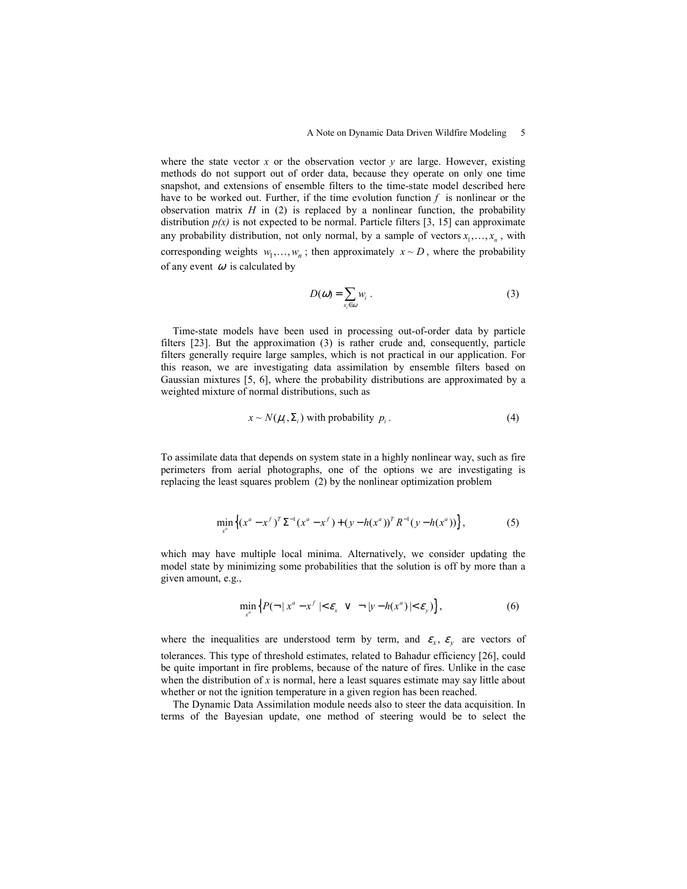where the state vector  $x$  or the observation vector  $y$  are large. However, existing methods do not support out of order data, because they operate on only one time snapshot, and extensions of ensemble filters to the time-state model described here have to be worked out. Further, if the time evolution function  $f$  is nonlinear or the observation matrix  $H$  in (2) is replaced by a nonlinear function, the probability distribution  $p(x)$  is not expected to be normal. Particle filters [3, 15] can approximate any probability distribution, not only normal, by a sample of vectors  $x_1, \ldots, x_n$ , with corresponding weights  $w_1, \ldots, w_n$ ; then approximately  $x \sim D$ , where the probability of any event  $\omega$  is calculated by

$$
D(\omega) = \sum_{x_i \in \omega} w_i \ . \tag{3}
$$

Time-state models have been used in processing out-of-order data by particle filters [23]. But the approximation (3) is rather crude and, consequently, particle filters generally require large samples, which is not practical in our application. For this reason, we are investigating data assimilation by ensemble filters based on Gaussian mixtures [5, 6], where the probability distributions are approximated by a weighted mixture of normal distributions, such as

$$
x \sim N(\mu_i, \Sigma_i) \text{ with probability } p_i. \tag{4}
$$

To assimilate data that depends on system state in a highly nonlinear way, such as fire perimeters from aerial photographs, one of the options we are investigating is replacing the least squares problem (2) by the nonlinear optimization problem

$$
\min_{x^a} \left\{ (x^a - x^f)^T \Sigma^{-1} (x^a - x^f) + (y - h(x^a))^T R^{-1} (y - h(x^a)) \right\},\tag{5}
$$

which may have multiple local minima. Alternatively, we consider updating the model state by minimizing some probabilities that the solution is off by more than a given amount, e.g.,

$$
\min_{x^a} \left\{ P(\neg \,|\, x^a - x^f \mid < \varepsilon_x \ \vee \ \neg \,|\, y - h(x^a) \mid < \varepsilon_y) \right\},\tag{6}
$$

where the inequalities are understood term by term, and  $\epsilon_x$ ,  $\epsilon_y$  are vectors of tolerances. This type of threshold estimates, related to Bahadur efficiency [26], could be quite important in fire problems, because of the nature of fires. Unlike in the case when the distribution of *x* is normal, here a least squares estimate may say little about whether or not the ignition temperature in a given region has been reached.

The Dynamic Data Assimilation module needs also to steer the data acquisition. In terms of the Bayesian update, one method of steering would be to select the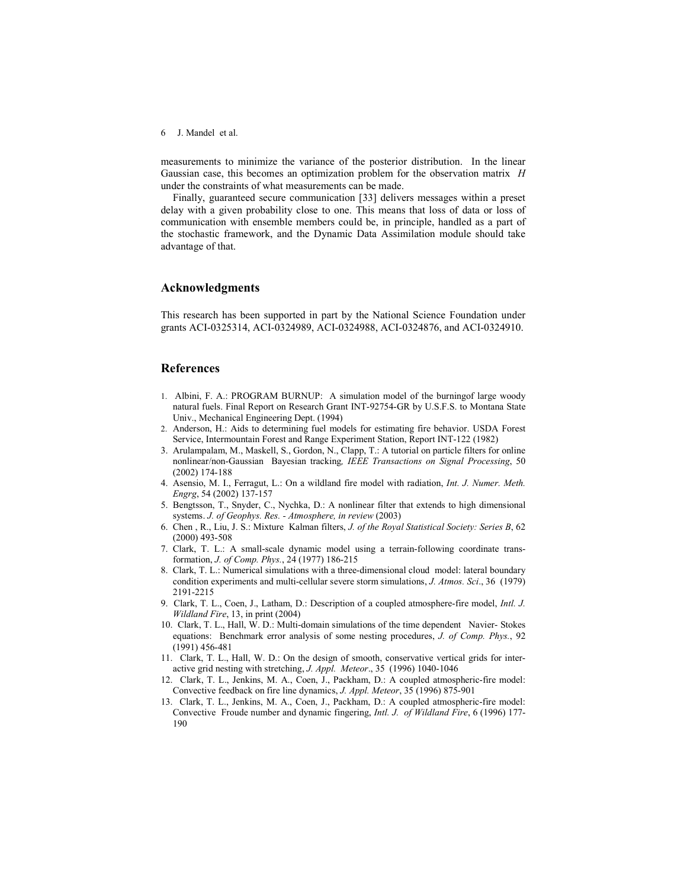6 J. Mandel et al.

measurements to minimize the variance of the posterior distribution. In the linear Gaussian case, this becomes an optimization problem for the observation matrix *H* under the constraints of what measurements can be made.

Finally, guaranteed secure communication [33] delivers messages within a preset delay with a given probability close to one. This means that loss of data or loss of communication with ensemble members could be, in principle, handled as a part of the stochastic framework, and the Dynamic Data Assimilation module should take advantage of that.

#### **Acknowledgments**

This research has been supported in part by the National Science Foundation under grants ACI-0325314, ACI-0324989, ACI-0324988, ACI-0324876, and ACI-0324910.

### **References**

- 1. Albini, F. A.: PROGRAM BURNUP: A simulation model of the burningof large woody natural fuels. Final Report on Research Grant INT-92754-GR by U.S.F.S. to Montana State Univ., Mechanical Engineering Dept. (1994)
- 2. Anderson, H.: Aids to determining fuel models for estimating fire behavior. USDA Forest Service, Intermountain Forest and Range Experiment Station, Report INT-122 (1982)
- 3. Arulampalam, M., Maskell, S., Gordon, N., Clapp, T.: A tutorial on particle filters for online nonlinear/non-Gaussian Bayesian tracking*, IEEE Transactions on Signal Processing*, 50 (2002) 174-188
- 4. Asensio, M. I., Ferragut, L.: On a wildland fire model with radiation, *Int. J. Numer. Meth. Engrg*, 54 (2002) 137-157
- 5. Bengtsson, T., Snyder, C., Nychka, D.: A nonlinear filter that extends to high dimensional systems. *J. of Geophys. Res. - Atmosphere, in review* (2003)
- 6. Chen , R., Liu, J. S.: Mixture Kalman filters, *J. of the Royal Statistical Society: Series B*, 62 (2000) 493-508
- 7. Clark, T. L.: A small-scale dynamic model using a terrain-following coordinate transformation, *J. of Comp. Phys.*, 24 (1977) 186-215
- 8. Clark, T. L.: Numerical simulations with a three-dimensional cloud model: lateral boundary condition experiments and multi-cellular severe storm simulations, *J. Atmos. Sci*., 36 (1979) 2191-2215
- 9. Clark, T. L., Coen, J., Latham, D.: Description of a coupled atmosphere-fire model, *Intl. J. Wildland Fire*, 13, in print (2004)
- 10. Clark, T. L., Hall, W. D.: Multi-domain simulations of the time dependent Navier- Stokes equations: Benchmark error analysis of some nesting procedures, *J. of Comp. Phys.*, 92 (1991) 456-481
- 11. Clark, T. L., Hall, W. D.: On the design of smooth, conservative vertical grids for interactive grid nesting with stretching, *J. Appl. Meteor*., 35 (1996) 1040-1046
- 12. Clark, T. L., Jenkins, M. A., Coen, J., Packham, D.: A coupled atmospheric-fire model: Convective feedback on fire line dynamics, *J. Appl. Meteor*, 35 (1996) 875-901
- 13. Clark, T. L., Jenkins, M. A., Coen, J., Packham, D.: A coupled atmospheric-fire model: Convective Froude number and dynamic fingering, *Intl. J. of Wildland Fire*, 6 (1996) 177- 190